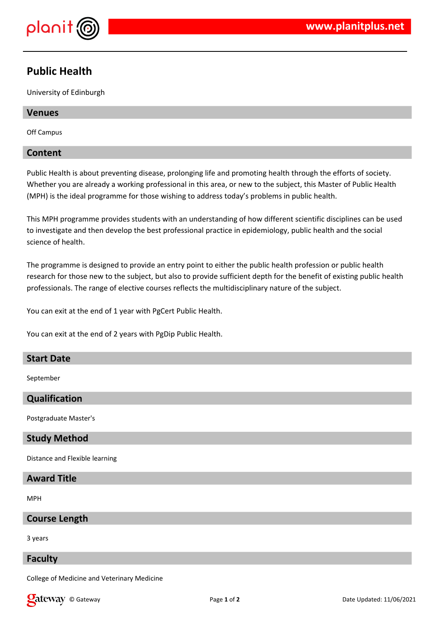

# **Public Health**

University of Edinburgh

## **Venues**

Off Campus

## **Content**

Public Health is about preventing disease, prolonging life and promoting health through the efforts of society. Whether you are already a working professional in this area, or new to the subject, this Master of Public Health (MPH) is the ideal programme for those wishing to address today's problems in public health.

This MPH programme provides students with an understanding of how different scientific disciplines can be used to investigate and then develop the best professional practice in epidemiology, public health and the social science of health.

The programme is designed to provide an entry point to either the public health profession or public health research for those new to the subject, but also to provide sufficient depth for the benefit of existing public health professionals. The range of elective courses reflects the multidisciplinary nature of the subject.

You can exit at the end of 1 year with PgCert Public Health.

You can exit at the end of 2 years with PgDip Public Health.

## **Start Date**

September

## **Qualification**

Postgraduate Master's

## **Study Method**

Distance and Flexible learning

## **Award Title**

MPH

## **Course Length**

3 years

#### **Faculty**

College of Medicine and Veterinary Medicine

**Call EXECURI** Construction of the Updated: 11/06/2021 **Page 1** of **2 Date Updated: 11/06/2021**